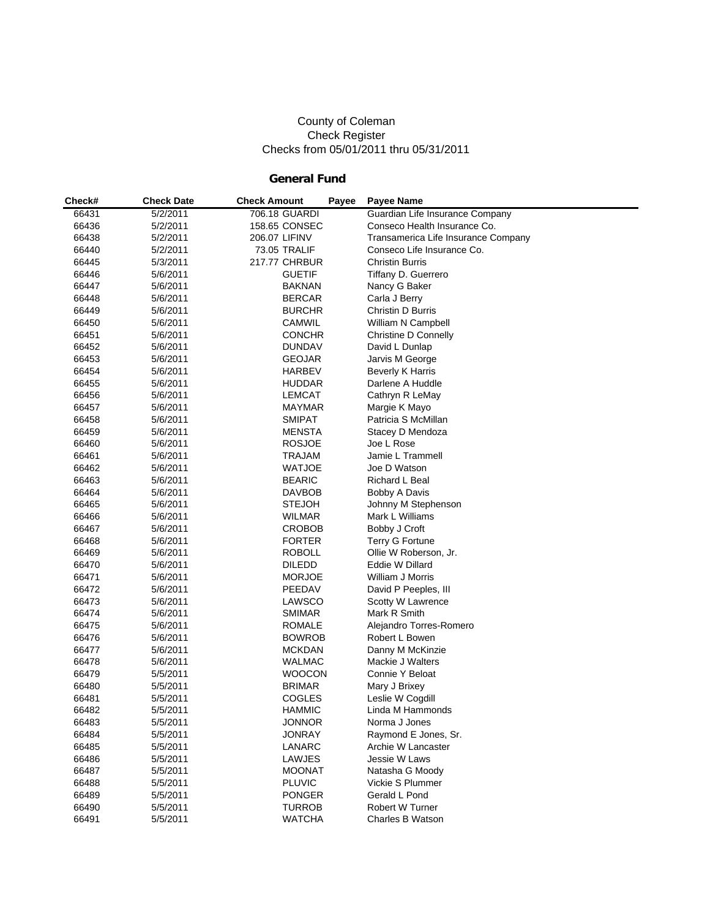#### County of Coleman Check Register Checks from 05/01/2011 thru 05/31/2011

## **General Fund**

| Check# | <b>Check Date</b> | <b>Check Amount</b> | Payee | <b>Payee Name</b>                   |
|--------|-------------------|---------------------|-------|-------------------------------------|
| 66431  | 5/2/2011          | 706.18 GUARDI       |       | Guardian Life Insurance Company     |
| 66436  | 5/2/2011          | 158.65 CONSEC       |       | Conseco Health Insurance Co.        |
| 66438  | 5/2/2011          | 206.07 LIFINV       |       | Transamerica Life Insurance Company |
| 66440  | 5/2/2011          | 73.05 TRALIF        |       | Conseco Life Insurance Co.          |
| 66445  | 5/3/2011          | 217.77 CHRBUR       |       | <b>Christin Burris</b>              |
| 66446  | 5/6/2011          | <b>GUETIF</b>       |       | Tiffany D. Guerrero                 |
| 66447  | 5/6/2011          | <b>BAKNAN</b>       |       | Nancy G Baker                       |
| 66448  | 5/6/2011          | <b>BERCAR</b>       |       | Carla J Berry                       |
| 66449  | 5/6/2011          | <b>BURCHR</b>       |       | Christin D Burris                   |
| 66450  | 5/6/2011          | CAMWIL              |       | William N Campbell                  |
| 66451  | 5/6/2011          | <b>CONCHR</b>       |       | Christine D Connelly                |
| 66452  | 5/6/2011          | <b>DUNDAV</b>       |       | David L Dunlap                      |
| 66453  | 5/6/2011          | <b>GEOJAR</b>       |       | Jarvis M George                     |
| 66454  | 5/6/2011          | <b>HARBEV</b>       |       | <b>Beverly K Harris</b>             |
| 66455  | 5/6/2011          | <b>HUDDAR</b>       |       | Darlene A Huddle                    |
| 66456  | 5/6/2011          | <b>LEMCAT</b>       |       | Cathryn R LeMay                     |
| 66457  | 5/6/2011          | MAYMAR              |       | Margie K Mayo                       |
| 66458  | 5/6/2011          | <b>SMIPAT</b>       |       | Patricia S McMillan                 |
| 66459  | 5/6/2011          | MENSTA              |       | Stacey D Mendoza                    |
| 66460  | 5/6/2011          | <b>ROSJOE</b>       |       | Joe L Rose                          |
| 66461  | 5/6/2011          | TRAJAM              |       | Jamie L Trammell                    |
| 66462  | 5/6/2011          | <b>WATJOE</b>       |       | Joe D Watson                        |
| 66463  | 5/6/2011          | <b>BEARIC</b>       |       | Richard L Beal                      |
| 66464  | 5/6/2011          | <b>DAVBOB</b>       |       | Bobby A Davis                       |
| 66465  | 5/6/2011          | <b>STEJOH</b>       |       | Johnny M Stephenson                 |
| 66466  | 5/6/2011          | <b>WILMAR</b>       |       | Mark L Williams                     |
| 66467  | 5/6/2011          | <b>CROBOB</b>       |       | Bobby J Croft                       |
| 66468  | 5/6/2011          | <b>FORTER</b>       |       | Terry G Fortune                     |
| 66469  | 5/6/2011          | <b>ROBOLL</b>       |       | Ollie W Roberson, Jr.               |
| 66470  | 5/6/2011          | <b>DILEDD</b>       |       | Eddie W Dillard                     |
| 66471  | 5/6/2011          | <b>MORJOE</b>       |       | William J Morris                    |
| 66472  | 5/6/2011          | PEEDAV              |       | David P Peeples, III                |
| 66473  | 5/6/2011          | LAWSCO              |       | Scotty W Lawrence                   |
| 66474  | 5/6/2011          | <b>SMIMAR</b>       |       | Mark R Smith                        |
| 66475  | 5/6/2011          | ROMALE              |       | Alejandro Torres-Romero             |
| 66476  | 5/6/2011          | <b>BOWROB</b>       |       | Robert L Bowen                      |
| 66477  | 5/6/2011          | <b>MCKDAN</b>       |       | Danny M McKinzie                    |
| 66478  | 5/6/2011          | <b>WALMAC</b>       |       | Mackie J Walters                    |
| 66479  | 5/5/2011          | <b>WOOCON</b>       |       | Connie Y Beloat                     |
| 66480  | 5/5/2011          | <b>BRIMAR</b>       |       | Mary J Brixey                       |
| 66481  | 5/5/2011          | COGLES              |       | Leslie W Cogdill                    |
| 66482  | 5/5/2011          | <b>HAMMIC</b>       |       | Linda M Hammonds                    |
| 66483  | 5/5/2011          | <b>JONNOR</b>       |       | Norma J Jones                       |
| 66484  | 5/5/2011          | <b>JONRAY</b>       |       | Raymond E Jones, Sr.                |
| 66485  | 5/5/2011          | LANARC              |       | Archie W Lancaster                  |
| 66486  | 5/5/2011          | LAWJES              |       | Jessie W Laws                       |
| 66487  | 5/5/2011          | <b>MOONAT</b>       |       | Natasha G Moody                     |
| 66488  | 5/5/2011          | <b>PLUVIC</b>       |       | Vickie S Plummer                    |
| 66489  | 5/5/2011          | <b>PONGER</b>       |       | Gerald L Pond                       |
| 66490  | 5/5/2011          | <b>TURROB</b>       |       | Robert W Turner                     |
| 66491  | 5/5/2011          | <b>WATCHA</b>       |       | Charles B Watson                    |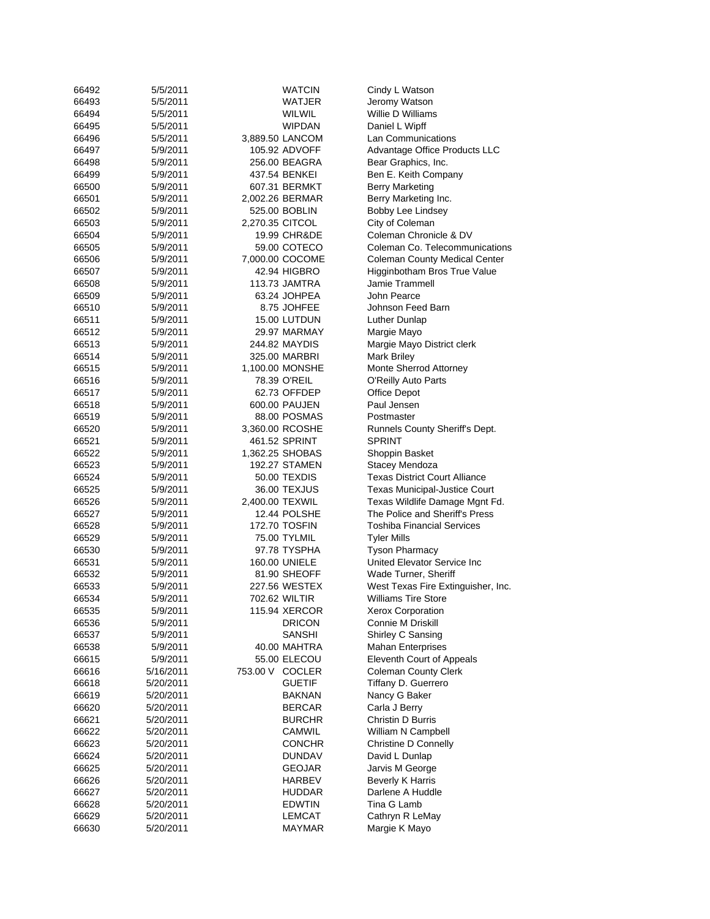| 66492 | 5/5/2011  | <b>WATCIN</b>   | Cindy L Watson                       |
|-------|-----------|-----------------|--------------------------------------|
| 66493 | 5/5/2011  | WATJER          | Jeromy Watson                        |
| 66494 | 5/5/2011  | WILWIL          | Willie D Williams                    |
| 66495 | 5/5/2011  | <b>WIPDAN</b>   | Daniel L Wipff                       |
| 66496 | 5/5/2011  | 3,889.50 LANCOM | Lan Communications                   |
| 66497 | 5/9/2011  | 105.92 ADVOFF   | Advantage Office Products LLC        |
| 66498 | 5/9/2011  | 256.00 BEAGRA   | Bear Graphics, Inc.                  |
| 66499 | 5/9/2011  | 437.54 BENKEI   | Ben E. Keith Company                 |
| 66500 | 5/9/2011  | 607.31 BERMKT   | <b>Berry Marketing</b>               |
| 66501 | 5/9/2011  | 2,002.26 BERMAR | Berry Marketing Inc.                 |
| 66502 | 5/9/2011  | 525.00 BOBLIN   | Bobby Lee Lindsey                    |
| 66503 | 5/9/2011  | 2,270.35 CITCOL | City of Coleman                      |
| 66504 | 5/9/2011  | 19.99 CHR&DE    | Coleman Chronicle & DV               |
| 66505 | 5/9/2011  | 59.00 COTECO    | Coleman Co. Telecommunications       |
| 66506 | 5/9/2011  | 7,000.00 COCOME | <b>Coleman County Medical Center</b> |
| 66507 | 5/9/2011  | 42.94 HIGBRO    | Higginbotham Bros True Value         |
| 66508 | 5/9/2011  | 113.73 JAMTRA   | Jamie Trammell                       |
| 66509 | 5/9/2011  | 63.24 JOHPEA    | John Pearce                          |
| 66510 | 5/9/2011  | 8.75 JOHFEE     | Johnson Feed Barn                    |
| 66511 | 5/9/2011  | 15.00 LUTDUN    | Luther Dunlap                        |
| 66512 | 5/9/2011  | 29.97 MARMAY    | Margie Mayo                          |
| 66513 | 5/9/2011  | 244.82 MAYDIS   | Margie Mayo District clerk           |
| 66514 | 5/9/2011  | 325.00 MARBRI   | Mark Briley                          |
| 66515 | 5/9/2011  | 1,100.00 MONSHE | Monte Sherrod Attorney               |
| 66516 | 5/9/2011  | 78.39 O'REIL    | O'Reilly Auto Parts                  |
| 66517 | 5/9/2011  | 62.73 OFFDEP    | Office Depot                         |
| 66518 | 5/9/2011  | 600.00 PAUJEN   | Paul Jensen                          |
| 66519 | 5/9/2011  | 88.00 POSMAS    | Postmaster                           |
| 66520 | 5/9/2011  | 3,360.00 RCOSHE | Runnels County Sheriff's Dept.       |
| 66521 | 5/9/2011  | 461.52 SPRINT   | SPRINT                               |
| 66522 | 5/9/2011  | 1,362.25 SHOBAS | Shoppin Basket                       |
| 66523 | 5/9/2011  | 192.27 STAMEN   | Stacey Mendoza                       |
| 66524 | 5/9/2011  | 50.00 TEXDIS    | <b>Texas District Court Alliance</b> |
| 66525 | 5/9/2011  | 36.00 TEXJUS    | <b>Texas Municipal-Justice Court</b> |
| 66526 | 5/9/2011  | 2,400.00 TEXWIL | Texas Wildlife Damage Mgnt Fd.       |
| 66527 | 5/9/2011  | 12.44 POLSHE    | The Police and Sheriff's Press       |
| 66528 | 5/9/2011  | 172.70 TOSFIN   | <b>Toshiba Financial Services</b>    |
| 66529 | 5/9/2011  | 75.00 TYLMIL    | <b>Tyler Mills</b>                   |
| 66530 | 5/9/2011  | 97.78 TYSPHA    | <b>Tyson Pharmacy</b>                |
| 66531 | 5/9/2011  | 160.00 UNIELE   | United Elevator Service Inc          |
| 66532 | 5/9/2011  | 81.90 SHEOFF    | Wade Turner, Sheriff                 |
| 66533 | 5/9/2011  | 227.56 WESTEX   | West Texas Fire Extinguisher, Inc.   |
| 66534 | 5/9/2011  | 702.62 WILTIR   | <b>Williams Tire Store</b>           |
| 66535 | 5/9/2011  | 115.94 XERCOR   | Xerox Corporation                    |
| 66536 | 5/9/2011  | <b>DRICON</b>   | Connie M Driskill                    |
| 66537 | 5/9/2011  | <b>SANSHI</b>   | Shirley C Sansing                    |
| 66538 | 5/9/2011  | 40.00 MAHTRA    | <b>Mahan Enterprises</b>             |
| 66615 | 5/9/2011  | 55.00 ELECOU    | Eleventh Court of Appeals            |
| 66616 | 5/16/2011 | 753.00 V COCLER | <b>Coleman County Clerk</b>          |
| 66618 | 5/20/2011 | <b>GUETIF</b>   | Tiffany D. Guerrero                  |
| 66619 | 5/20/2011 | <b>BAKNAN</b>   | Nancy G Baker                        |
| 66620 | 5/20/2011 | <b>BERCAR</b>   | Carla J Berry                        |
| 66621 | 5/20/2011 | <b>BURCHR</b>   | Christin D Burris                    |
| 66622 | 5/20/2011 | CAMWIL          | William N Campbell                   |
| 66623 | 5/20/2011 | <b>CONCHR</b>   | Christine D Connelly                 |
| 66624 | 5/20/2011 | DUNDAV          | David L Dunlap                       |
| 66625 | 5/20/2011 | GEOJAR          | Jarvis M George                      |
| 66626 | 5/20/2011 | HARBEV          | <b>Beverly K Harris</b>              |
| 66627 | 5/20/2011 | HUDDAR          | Darlene A Huddle                     |
| 66628 | 5/20/2011 | <b>EDWTIN</b>   | Tina G Lamb                          |
| 66629 | 5/20/2011 | LEMCAT          | Cathryn R LeMay                      |
| 66630 | 5/20/2011 | <b>MAYMAR</b>   | Margie K Mayo                        |
|       |           |                 |                                      |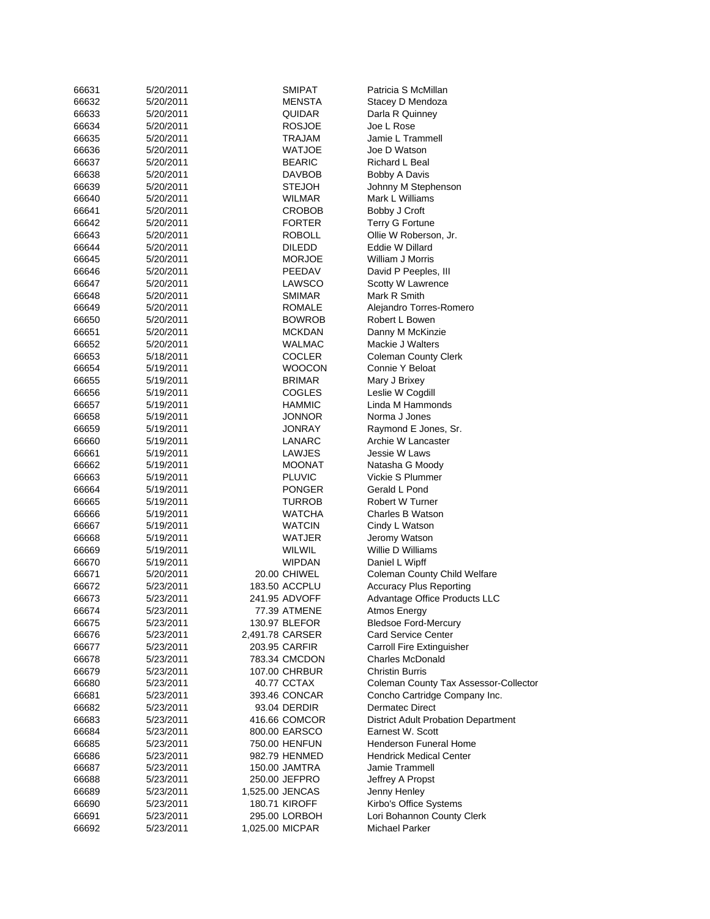| 66631 | 5/20/2011 | <b>SMIPAT</b>        | Patricia S McMillan                        |
|-------|-----------|----------------------|--------------------------------------------|
| 66632 | 5/20/2011 | MENSTA               | Stacey D Mendoza                           |
| 66633 | 5/20/2011 | QUIDAR               | Darla R Quinney                            |
| 66634 | 5/20/2011 | <b>ROSJOE</b>        | Joe L Rose                                 |
| 66635 | 5/20/2011 | TRAJAM               | Jamie L Trammell                           |
| 66636 | 5/20/2011 | WATJOE               | Joe D Watson                               |
| 66637 | 5/20/2011 | <b>BEARIC</b>        | Richard L Beal                             |
| 66638 | 5/20/2011 | DAVBOB               | Bobby A Davis                              |
| 66639 | 5/20/2011 | <b>STEJOH</b>        | Johnny M Stephenson                        |
| 66640 | 5/20/2011 | WILMAR               | Mark L Williams                            |
| 66641 | 5/20/2011 | CROBOB               | Bobby J Croft                              |
| 66642 | 5/20/2011 | <b>FORTER</b>        | Terry G Fortune                            |
| 66643 | 5/20/2011 | ROBOLL               | Ollie W Roberson, Jr.                      |
| 66644 | 5/20/2011 | <b>DILEDD</b>        | Eddie W Dillard                            |
| 66645 | 5/20/2011 | <b>MORJOE</b>        | William J Morris                           |
| 66646 | 5/20/2011 | PEEDAV               | David P Peeples, III                       |
| 66647 | 5/20/2011 | LAWSCO               | Scotty W Lawrence                          |
| 66648 | 5/20/2011 | SMIMAR               | Mark R Smith                               |
| 66649 | 5/20/2011 | ROMALE               | Alejandro Torres-Romero                    |
| 66650 | 5/20/2011 | <b>BOWROB</b>        | Robert L Bowen                             |
| 66651 | 5/20/2011 | <b>MCKDAN</b>        | Danny M McKinzie                           |
| 66652 | 5/20/2011 | WALMAC               | Mackie J Walters                           |
| 66653 | 5/18/2011 | COCLER               | <b>Coleman County Clerk</b>                |
| 66654 | 5/19/2011 | WOOCON               | Connie Y Beloat                            |
| 66655 | 5/19/2011 | <b>BRIMAR</b>        | Mary J Brixey                              |
| 66656 | 5/19/2011 | COGLES               | Leslie W Cogdill                           |
| 66657 | 5/19/2011 | HAMMIC               | Linda M Hammonds                           |
| 66658 | 5/19/2011 | JONNOR               | Norma J Jones                              |
| 66659 | 5/19/2011 | JONRAY               | Raymond E Jones, Sr.                       |
| 66660 | 5/19/2011 | LANARC               | Archie W Lancaster                         |
| 66661 | 5/19/2011 | LAWJES               | Jessie W Laws                              |
| 66662 | 5/19/2011 | MOONAT               | Natasha G Moody                            |
| 66663 | 5/19/2011 | <b>PLUVIC</b>        | Vickie S Plummer                           |
| 66664 | 5/19/2011 | <b>PONGER</b>        | Gerald L Pond                              |
| 66665 | 5/19/2011 | TURROB               | Robert W Turner                            |
| 66666 | 5/19/2011 | <b>WATCHA</b>        | Charles B Watson                           |
| 66667 | 5/19/2011 | WATCIN               | Cindy L Watson                             |
| 66668 | 5/19/2011 | WATJER               | Jeromy Watson                              |
| 66669 | 5/19/2011 | WILWIL               | Willie D Williams                          |
| 66670 | 5/19/2011 | <b>WIPDAN</b>        | Daniel L Wipff                             |
| 66671 | 5/20/2011 | 20.00 CHIWEL         | Coleman County Child Welfare               |
| 66672 | 5/23/2011 | 183.50 ACCPLU        | <b>Accuracy Plus Reporting</b>             |
| 66673 | 5/23/2011 | 241.95 ADVOFF        | Advantage Office Products LLC              |
| 66674 | 5/23/2011 | 77.39 ATMENE         | Atmos Energy                               |
| 66675 | 5/23/2011 | 130.97 BLEFOR        | <b>Bledsoe Ford-Mercury</b>                |
| 66676 | 5/23/2011 | 2,491.78 CARSER      | <b>Card Service Center</b>                 |
| 66677 | 5/23/2011 | 203.95 CARFIR        | <b>Carroll Fire Extinguisher</b>           |
| 66678 | 5/23/2011 | 783.34 CMCDON        | <b>Charles McDonald</b>                    |
| 66679 | 5/23/2011 | 107.00 CHRBUR        | <b>Christin Burris</b>                     |
| 66680 | 5/23/2011 | 40.77 CCTAX          | Coleman County Tax Assessor-Collector      |
| 66681 | 5/23/2011 | 393.46 CONCAR        | Concho Cartridge Company Inc.              |
| 66682 | 5/23/2011 | 93.04 DERDIR         | <b>Dermatec Direct</b>                     |
| 66683 | 5/23/2011 | 416.66 COMCOR        | <b>District Adult Probation Department</b> |
| 66684 | 5/23/2011 | 800.00 EARSCO        | Earnest W. Scott                           |
| 66685 | 5/23/2011 | 750.00 HENFUN        | <b>Henderson Funeral Home</b>              |
| 66686 | 5/23/2011 | 982.79 HENMED        | <b>Hendrick Medical Center</b>             |
| 66687 | 5/23/2011 | 150.00 JAMTRA        | Jamie Trammell                             |
| 66688 | 5/23/2011 | 250.00 JEFPRO        | Jeffrey A Propst                           |
| 66689 | 5/23/2011 | 1,525.00 JENCAS      | Jenny Henley                               |
| 66690 | 5/23/2011 | <b>180.71 KIROFF</b> | Kirbo's Office Systems                     |
| 66691 | 5/23/2011 | 295.00 LORBOH        | Lori Bohannon County Clerk                 |
| 66692 | 5/23/2011 | 1,025.00 MICPAR      | <b>Michael Parker</b>                      |
|       |           |                      |                                            |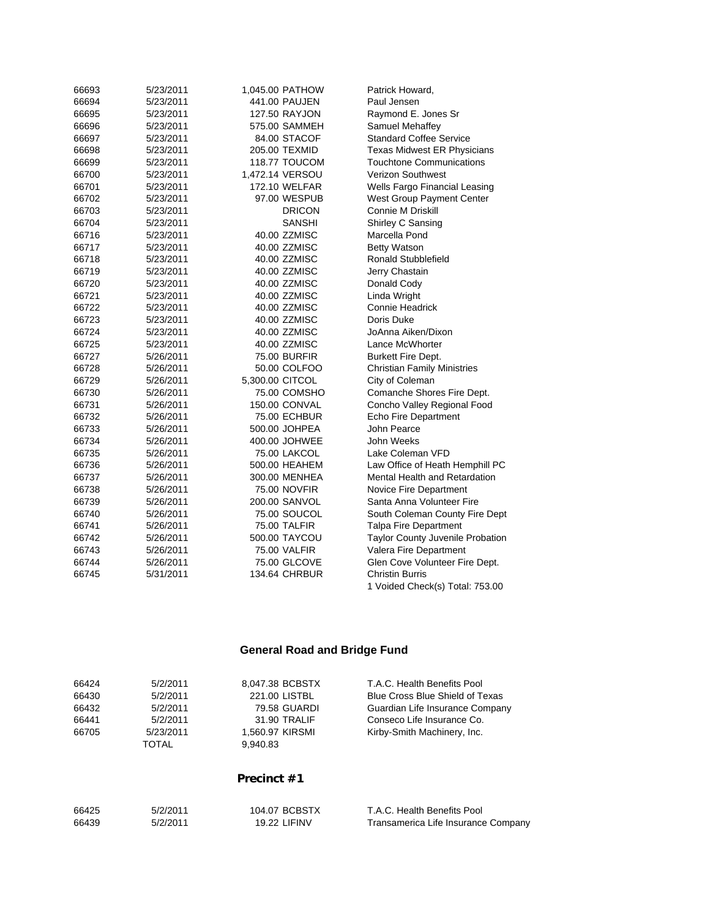| 66693 | 5/23/2011 | 1,045.00 PATHOW      | Patrick Howard,                      |
|-------|-----------|----------------------|--------------------------------------|
| 66694 | 5/23/2011 | 441.00 PAUJEN        | Paul Jensen                          |
| 66695 | 5/23/2011 | 127.50 RAYJON        | Raymond E. Jones Sr                  |
| 66696 | 5/23/2011 | 575.00 SAMMEH        | Samuel Mehaffey                      |
| 66697 | 5/23/2011 | 84.00 STACOF         | <b>Standard Coffee Service</b>       |
| 66698 | 5/23/2011 | 205.00 TEXMID        | Texas Midwest ER Physicians          |
| 66699 | 5/23/2011 | 118.77 TOUCOM        | Touchtone Communications             |
| 66700 | 5/23/2011 | 1,472.14 VERSOU      | <b>Verizon Southwest</b>             |
| 66701 | 5/23/2011 | 172.10 WELFAR        | Wells Fargo Financial Leasing        |
| 66702 | 5/23/2011 | 97.00 WESPUB         | West Group Payment Center            |
| 66703 | 5/23/2011 | <b>DRICON</b>        | Connie M Driskill                    |
| 66704 | 5/23/2011 | SANSHI               | Shirley C Sansing                    |
| 66716 | 5/23/2011 | 40.00 ZZMISC         | Marcella Pond                        |
| 66717 | 5/23/2011 | 40.00 ZZMISC         | <b>Betty Watson</b>                  |
| 66718 | 5/23/2011 | 40.00 ZZMISC         | Ronald Stubblefield                  |
| 66719 | 5/23/2011 | 40.00 ZZMISC         | Jerry Chastain                       |
| 66720 | 5/23/2011 | 40.00 ZZMISC         | Donald Cody                          |
| 66721 | 5/23/2011 | 40.00 ZZMISC         | Linda Wright                         |
| 66722 | 5/23/2011 | 40.00 ZZMISC         | Connie Headrick                      |
| 66723 | 5/23/2011 | 40.00 ZZMISC         | Doris Duke                           |
| 66724 | 5/23/2011 | 40.00 ZZMISC         | JoAnna Aiken/Dixon                   |
| 66725 | 5/23/2011 | 40.00 ZZMISC         | Lance McWhorter                      |
| 66727 | 5/26/2011 | 75.00 BURFIR         | Burkett Fire Dept.                   |
| 66728 | 5/26/2011 | 50.00 COLFOO         | <b>Christian Family Ministries</b>   |
| 66729 | 5/26/2011 | 5,300.00 CITCOL      | City of Coleman                      |
| 66730 | 5/26/2011 | 75.00 COMSHO         | Comanche Shores Fire Dept.           |
| 66731 | 5/26/2011 | 150.00 CONVAL        | Concho Valley Regional Food          |
| 66732 | 5/26/2011 | 75.00 ECHBUR         | Echo Fire Department                 |
| 66733 | 5/26/2011 | 500.00 JOHPEA        | John Pearce                          |
| 66734 | 5/26/2011 | 400.00 JOHWEE        | John Weeks                           |
| 66735 | 5/26/2011 | 75.00 LAKCOL         | Lake Coleman VFD                     |
| 66736 | 5/26/2011 | 500.00 HEAHEM        | Law Office of Heath Hemphill PC      |
| 66737 | 5/26/2011 | 300.00 MENHEA        | <b>Mental Health and Retardation</b> |
| 66738 | 5/26/2011 | 75.00 NOVFIR         | Novice Fire Department               |
| 66739 | 5/26/2011 | 200.00 SANVOL        | Santa Anna Volunteer Fire            |
| 66740 | 5/26/2011 | 75.00 SOUCOL         | South Coleman County Fire Dept       |
| 66741 | 5/26/2011 | 75.00 TALFIR         | <b>Talpa Fire Department</b>         |
| 66742 | 5/26/2011 | 500.00 TAYCOU        | Taylor County Juvenile Probation     |
| 66743 | 5/26/2011 | 75.00 VALFIR         | Valera Fire Department               |
| 66744 | 5/26/2011 | 75.00 GLCOVE         | Glen Cove Volunteer Fire Dept.       |
| 66745 | 5/31/2011 | <b>134.64 CHRBUR</b> | <b>Christin Burris</b>               |
|       |           |                      | 1 Voided Check(s) Total: 753.00      |

# **General Road and Bridge Fund**

| 66424 | 5/2/2011  | 8.047.38 BCBSTX | T.A.C. Health Benefits Pool     |
|-------|-----------|-----------------|---------------------------------|
| 66430 | 5/2/2011  | 221.00 LISTBL   | Blue Cross Blue Shield of Texas |
| 66432 | 5/2/2011  | 79.58 GUARDI    | Guardian Life Insurance Company |
| 66441 | 5/2/2011  | 31.90 TRALIF    | Conseco Life Insurance Co.      |
| 66705 | 5/23/2011 | 1.560.97 KIRSMI | Kirby-Smith Machinery, Inc.     |
|       | TOTAL     | 9,940.83        |                                 |
|       |           | Precinct #1     |                                 |
|       |           |                 |                                 |
| 66425 | 5/2/2011  | 104.07 BCBSTX   | T.A.C. Health Benefits Pool     |

66439 5/2/2011 19.22 LIFINV Transamerica Life Insurance Company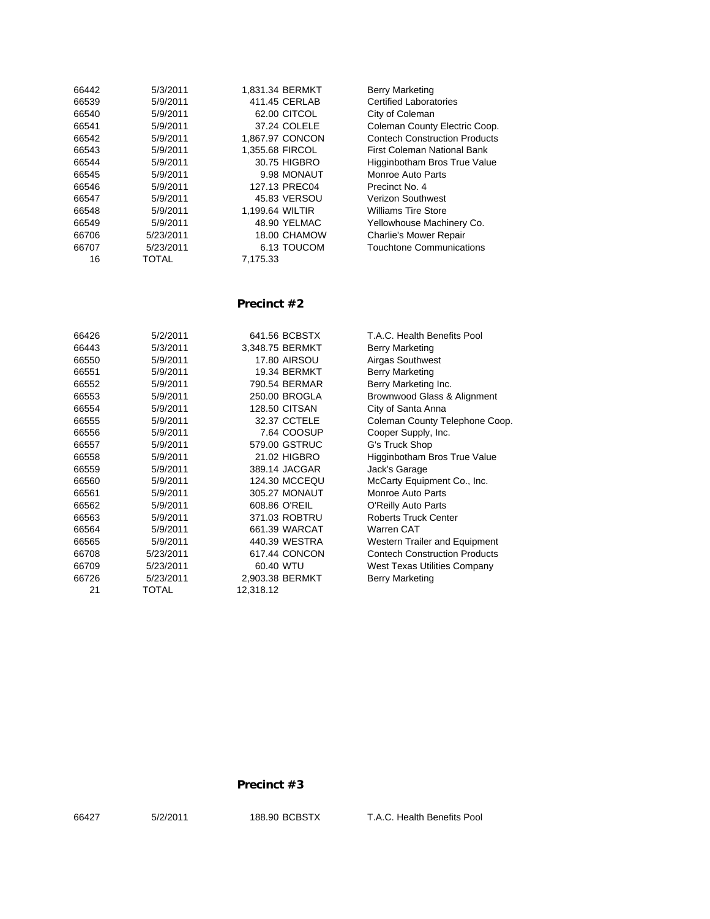| 66442 | 5/3/2011  | 1.831.34 BERMKT | <b>Berry Marketing</b>               |
|-------|-----------|-----------------|--------------------------------------|
| 66539 | 5/9/2011  | 411.45 CERLAB   | <b>Certified Laboratories</b>        |
| 66540 | 5/9/2011  | 62.00 CITCOL    | City of Coleman                      |
| 66541 | 5/9/2011  | 37.24 COLELE    | Coleman County Electric Coop.        |
| 66542 | 5/9/2011  | 1,867.97 CONCON | <b>Contech Construction Products</b> |
| 66543 | 5/9/2011  | 1.355.68 FIRCOL | First Coleman National Bank          |
| 66544 | 5/9/2011  | 30.75 HIGBRO    | Higginbotham Bros True Value         |
| 66545 | 5/9/2011  | 9.98 MONAUT     | Monroe Auto Parts                    |
| 66546 | 5/9/2011  | 127.13 PREC04   | Precinct No. 4                       |
| 66547 | 5/9/2011  | 45.83 VERSOU    | <b>Verizon Southwest</b>             |
| 66548 | 5/9/2011  | 1,199.64 WILTIR | <b>Williams Tire Store</b>           |
| 66549 | 5/9/2011  | 48.90 YELMAC    | Yellowhouse Machinery Co.            |
| 66706 | 5/23/2011 | 18.00 CHAMOW    | <b>Charlie's Mower Repair</b>        |
| 66707 | 5/23/2011 | 6.13 TOUCOM     | <b>Touchtone Communications</b>      |
| 16    | TOTAL     | 7.175.33        |                                      |
|       |           |                 |                                      |

### **Precinct #2**

| 66426 | 5/2/2011  | 641.56 BCBSTX        | T.A.C. Health Benefits Pool       |
|-------|-----------|----------------------|-----------------------------------|
| 66443 | 5/3/2011  | 3,348.75 BERMKT      | Berry Marketing                   |
| 66550 | 5/9/2011  | <b>17.80 AIRSOU</b>  | Airgas Southwest                  |
| 66551 | 5/9/2011  | <b>19.34 BERMKT</b>  | Berry Marketing                   |
| 66552 | 5/9/2011  | 790.54 BERMAR        | Berry Marketing Inc.              |
| 66553 | 5/9/2011  | 250.00 BROGLA        | Brownwood Glass & Alignm          |
| 66554 | 5/9/2011  | <b>128.50 CITSAN</b> | City of Santa Anna                |
| 66555 | 5/9/2011  | 32.37 CCTELE         | <b>Coleman County Telephone</b>   |
| 66556 | 5/9/2011  | 7.64 COOSUP          | Cooper Supply, Inc.               |
| 66557 | 5/9/2011  | 579.00 GSTRUC        | G's Truck Shop                    |
| 66558 | 5/9/2011  | 21.02 HIGBRO         | Higginbotham Bros True Va         |
| 66559 | 5/9/2011  | 389.14 JACGAR        | Jack's Garage                     |
| 66560 | 5/9/2011  | 124.30 MCCEQU        | McCarty Equipment Co., Inc.       |
| 66561 | 5/9/2011  | 305.27 MONAUT        | <b>Monroe Auto Parts</b>          |
| 66562 | 5/9/2011  | 608.86 O'REIL        | <b>O'Reilly Auto Parts</b>        |
| 66563 | 5/9/2011  | 371.03 ROBTRU        | <b>Roberts Truck Center</b>       |
| 66564 | 5/9/2011  | 661.39 WARCAT        | Warren CAT                        |
| 66565 | 5/9/2011  | 440.39 WESTRA        | Western Trailer and Equipm        |
| 66708 | 5/23/2011 | 617.44 CONCON        | <b>Contech Construction Produ</b> |
| 66709 | 5/23/2011 | 60.40 WTU            | West Texas Utilities Compa        |
| 66726 | 5/23/2011 | 2,903.38 BERMKT      | Berry Marketing                   |
| 21    | TOTAL     | 12,318.12            |                                   |
|       |           |                      |                                   |

outhwest<br>arketing arketing Inc. ood Glass & Alignment anta Anna County Telephone Coop. Supply, Inc<mark>.</mark><br>k Shop otham Bros True Value Equipment Co., Inc. Auto Parts Auto Parts Truck Center Trailer and Equipment Construction Products xas Utilities Company<br>arketing

#### **Precinct #3**